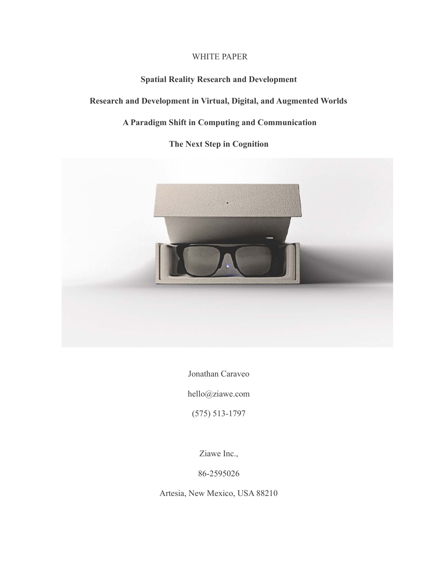# WHITE PAPER

# **Spatial Reality Research and Development**

# **Research and Development in Virtual, Digital, and Augmented Worlds**

# **A Paradigm Shift in Computing and Communication**

# **The Next Step in Cognition**



Jonathan Caraveo

hello@ziawe.com

(575) 513-1797

Ziawe Inc.,

86-2595026

Artesia, New Mexico, USA 88210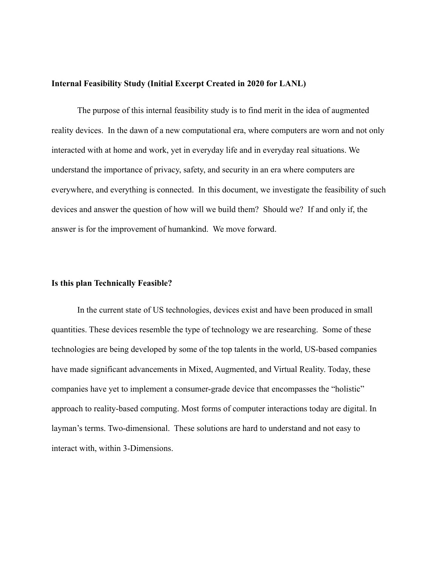#### **Internal Feasibility Study (Initial Excerpt Created in 2020 for LANL)**

The purpose of this internal feasibility study is to find merit in the idea of augmented reality devices. In the dawn of a new computational era, where computers are worn and not only interacted with at home and work, yet in everyday life and in everyday real situations. We understand the importance of privacy, safety, and security in an era where computers are everywhere, and everything is connected. In this document, we investigate the feasibility of such devices and answer the question of how will we build them? Should we? If and only if, the answer is for the improvement of humankind. We move forward.

#### **Is this plan Technically Feasible?**

In the current state of US technologies, devices exist and have been produced in small quantities. These devices resemble the type of technology we are researching. Some of these technologies are being developed by some of the top talents in the world, US-based companies have made significant advancements in Mixed, Augmented, and Virtual Reality. Today, these companies have yet to implement a consumer-grade device that encompasses the "holistic" approach to reality-based computing. Most forms of computer interactions today are digital. In layman's terms. Two-dimensional. These solutions are hard to understand and not easy to interact with, within 3-Dimensions.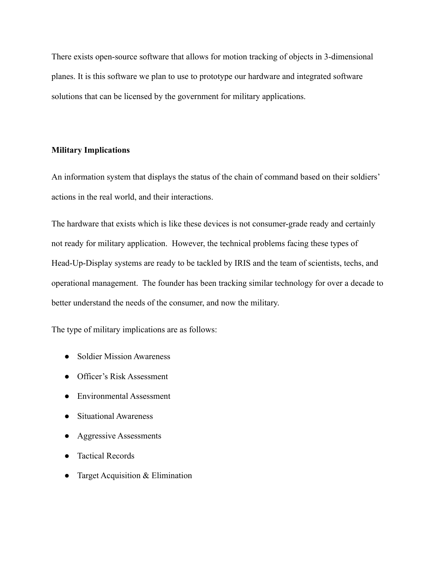There exists open-source software that allows for motion tracking of objects in 3-dimensional planes. It is this software we plan to use to prototype our hardware and integrated software solutions that can be licensed by the government for military applications.

# **Military Implications**

An information system that displays the status of the chain of command based on their soldiers' actions in the real world, and their interactions.

The hardware that exists which is like these devices is not consumer-grade ready and certainly not ready for military application. However, the technical problems facing these types of Head-Up-Display systems are ready to be tackled by IRIS and the team of scientists, techs, and operational management. The founder has been tracking similar technology for over a decade to better understand the needs of the consumer, and now the military.

The type of military implications are as follows:

- Soldier Mission Awareness
- Officer's Risk Assessment
- Environmental Assessment
- Situational Awareness
- Aggressive Assessments
- Tactical Records
- Target Acquisition  $& Elimination$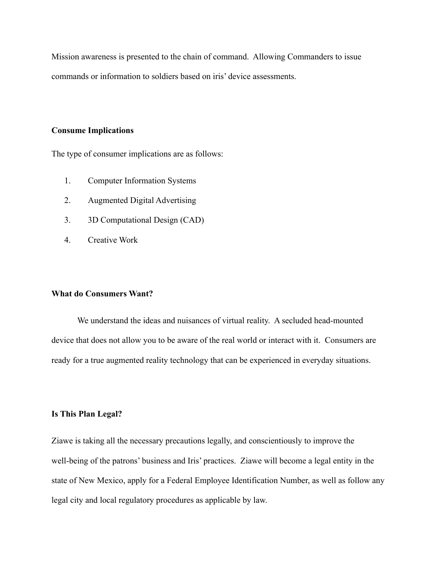Mission awareness is presented to the chain of command. Allowing Commanders to issue commands or information to soldiers based on iris' device assessments.

# **Consume Implications**

The type of consumer implications are as follows:

- 1. Computer Information Systems
- 2. Augmented Digital Advertising
- 3. 3D Computational Design (CAD)
- 4. Creative Work

## **What do Consumers Want?**

We understand the ideas and nuisances of virtual reality. A secluded head-mounted device that does not allow you to be aware of the real world or interact with it. Consumers are ready for a true augmented reality technology that can be experienced in everyday situations.

## **Is This Plan Legal?**

Ziawe is taking all the necessary precautions legally, and conscientiously to improve the well-being of the patrons' business and Iris' practices. Ziawe will become a legal entity in the state of New Mexico, apply for a Federal Employee Identification Number, as well as follow any legal city and local regulatory procedures as applicable by law.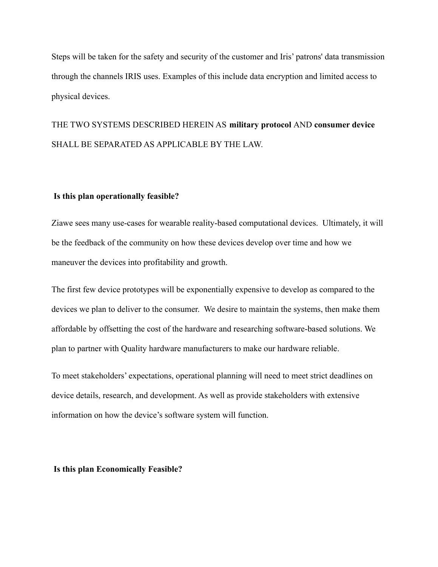Steps will be taken for the safety and security of the customer and Iris' patrons' data transmission through the channels IRIS uses. Examples of this include data encryption and limited access to physical devices.

# THE TWO SYSTEMS DESCRIBED HEREIN AS **military protocol** AND **consumer device** SHALL BE SEPARATED AS APPLICABLE BY THE LAW.

#### **Is this plan operationally feasible?**

Ziawe sees many use-cases for wearable reality-based computational devices. Ultimately, it will be the feedback of the community on how these devices develop over time and how we maneuver the devices into profitability and growth.

The first few device prototypes will be exponentially expensive to develop as compared to the devices we plan to deliver to the consumer. We desire to maintain the systems, then make them affordable by offsetting the cost of the hardware and researching software-based solutions. We plan to partner with Quality hardware manufacturers to make our hardware reliable.

To meet stakeholders' expectations, operational planning will need to meet strict deadlines on device details, research, and development. As well as provide stakeholders with extensive information on how the device's software system will function.

**Is this plan Economically Feasible?**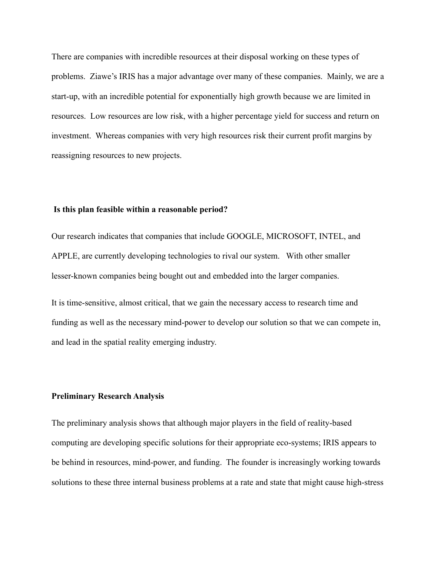There are companies with incredible resources at their disposal working on these types of problems. Ziawe's IRIS has a major advantage over many of these companies. Mainly, we are a start-up, with an incredible potential for exponentially high growth because we are limited in resources. Low resources are low risk, with a higher percentage yield for success and return on investment. Whereas companies with very high resources risk their current profit margins by reassigning resources to new projects.

#### **Is this plan feasible within a reasonable period?**

Our research indicates that companies that include GOOGLE, MICROSOFT, INTEL, and APPLE, are currently developing technologies to rival our system. With other smaller lesser-known companies being bought out and embedded into the larger companies.

It is time-sensitive, almost critical, that we gain the necessary access to research time and funding as well as the necessary mind-power to develop our solution so that we can compete in, and lead in the spatial reality emerging industry.

#### **Preliminary Research Analysis**

The preliminary analysis shows that although major players in the field of reality-based computing are developing specific solutions for their appropriate eco-systems; IRIS appears to be behind in resources, mind-power, and funding. The founder is increasingly working towards solutions to these three internal business problems at a rate and state that might cause high-stress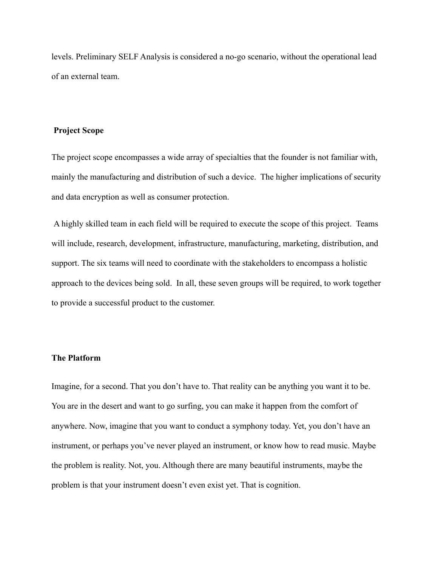levels. Preliminary SELF Analysis is considered a no-go scenario, without the operational lead of an external team.

#### **Project Scope**

The project scope encompasses a wide array of specialties that the founder is not familiar with, mainly the manufacturing and distribution of such a device. The higher implications of security and data encryption as well as consumer protection.

A highly skilled team in each field will be required to execute the scope of this project. Teams will include, research, development, infrastructure, manufacturing, marketing, distribution, and support. The six teams will need to coordinate with the stakeholders to encompass a holistic approach to the devices being sold. In all, these seven groups will be required, to work together to provide a successful product to the customer.

#### **The Platform**

Imagine, for a second. That you don't have to. That reality can be anything you want it to be. You are in the desert and want to go surfing, you can make it happen from the comfort of anywhere. Now, imagine that you want to conduct a symphony today. Yet, you don't have an instrument, or perhaps you've never played an instrument, or know how to read music. Maybe the problem is reality. Not, you. Although there are many beautiful instruments, maybe the problem is that your instrument doesn't even exist yet. That is cognition.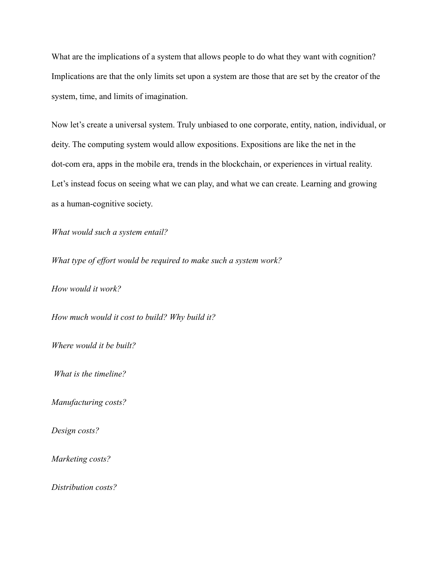What are the implications of a system that allows people to do what they want with cognition? Implications are that the only limits set upon a system are those that are set by the creator of the system, time, and limits of imagination.

Now let's create a universal system. Truly unbiased to one corporate, entity, nation, individual, or deity. The computing system would allow expositions. Expositions are like the net in the dot-com era, apps in the mobile era, trends in the blockchain, or experiences in virtual reality. Let's instead focus on seeing what we can play, and what we can create. Learning and growing as a human-cognitive society.

*What would such a system entail?*

*What type of effort would be required to make such a system work?*

*How would it work?*

*How much would it cost to build? Why build it?*

*Where would it be built?*

*What is the timeline?*

*Manufacturing costs?*

*Design costs?*

*Marketing costs?*

*Distribution costs?*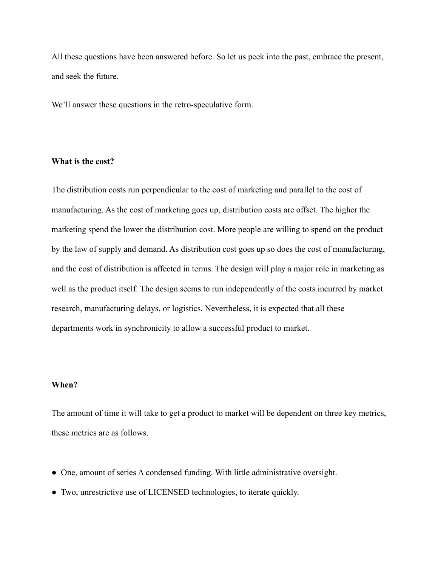All these questions have been answered before. So let us peek into the past, embrace the present, and seek the future.

We'll answer these questions in the retro-speculative form.

## **What is the cost?**

The distribution costs run perpendicular to the cost of marketing and parallel to the cost of manufacturing. As the cost of marketing goes up, distribution costs are offset. The higher the marketing spend the lower the distribution cost. More people are willing to spend on the product by the law of supply and demand. As distribution cost goes up so does the cost of manufacturing, and the cost of distribution is affected in terms. The design will play a major role in marketing as well as the product itself. The design seems to run independently of the costs incurred by market research, manufacturing delays, or logistics. Nevertheless, it is expected that all these departments work in synchronicity to allow a successful product to market.

## **When?**

The amount of time it will take to get a product to market will be dependent on three key metrics, these metrics are as follows.

- One, amount of series A condensed funding. With little administrative oversight.
- Two, unrestrictive use of LICENSED technologies, to iterate quickly.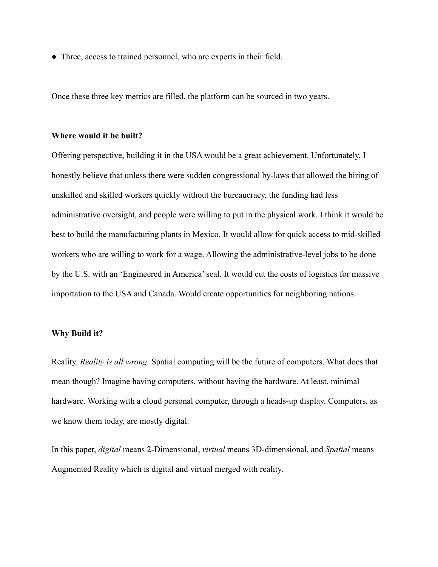• Three, access to trained personnel, who are experts in their field.

Once these three key metrics are filled, the platform can be sourced in two years.

#### **Where would it be built?**

Offering perspective, building it in the USA would be a great achievement. Unfortunately, I honestly believe that unless there were sudden congressional by-laws that allowed the hiring of unskilled and skilled workers quickly without the bureaucracy, the funding had less administrative oversight, and people were willing to put in the physical work. I think it would be best to build the manufacturing plants in Mexico. It would allow for quick access to mid-skilled workers who are willing to work for a wage. Allowing the administrative-level jobs to be done by the U.S. with an 'Engineered in America' seal. It would cut the costs of logistics for massive importation to the USA and Canada. Would create opportunities for neighboring nations.

#### **Why Build it?**

Reality. *Reality is all wrong.* Spatial computing will be the future of computers. What does that mean though? Imagine having computers, without having the hardware. At least, minimal hardware. Working with a cloud personal computer, through a heads-up display. Computers, as we know them today, are mostly digital.

In this paper, *digital* means 2-Dimensional, *virtual* means 3D-dimensional, and *Spatial* means Augmented Reality which is digital and virtual merged with reality.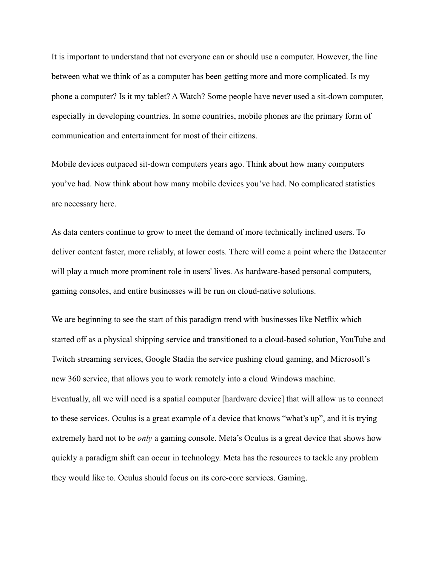It is important to understand that not everyone can or should use a computer. However, the line between what we think of as a computer has been getting more and more complicated. Is my phone a computer? Is it my tablet? A Watch? Some people have never used a sit-down computer, especially in developing countries. In some countries, mobile phones are the primary form of communication and entertainment for most of their citizens.

Mobile devices outpaced sit-down computers years ago. Think about how many computers you've had. Now think about how many mobile devices you've had. No complicated statistics are necessary here.

As data centers continue to grow to meet the demand of more technically inclined users. To deliver content faster, more reliably, at lower costs. There will come a point where the Datacenter will play a much more prominent role in users' lives. As hardware-based personal computers, gaming consoles, and entire businesses will be run on cloud-native solutions.

We are beginning to see the start of this paradigm trend with businesses like Netflix which started off as a physical shipping service and transitioned to a cloud-based solution, YouTube and Twitch streaming services, Google Stadia the service pushing cloud gaming, and Microsoft's new 360 service, that allows you to work remotely into a cloud Windows machine. Eventually, all we will need is a spatial computer [hardware device] that will allow us to connect to these services. Oculus is a great example of a device that knows "what's up", and it is trying extremely hard not to be *only* a gaming console. Meta's Oculus is a great device that shows how quickly a paradigm shift can occur in technology. Meta has the resources to tackle any problem they would like to. Oculus should focus on its core-core services. Gaming.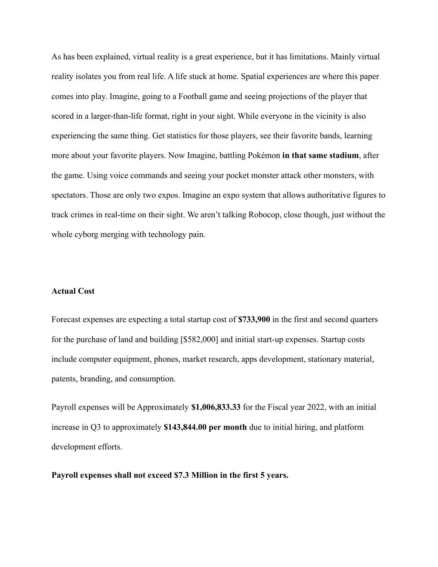As has been explained, virtual reality is a great experience, but it has limitations. Mainly virtual reality isolates you from real life. A life stuck at home. Spatial experiences are where this paper comes into play. Imagine, going to a Football game and seeing projections of the player that scored in a larger-than-life format, right in your sight. While everyone in the vicinity is also experiencing the same thing. Get statistics for those players, see their favorite bands, learning more about your favorite players. Now Imagine, battling Pokémon **in that same stadium**, after the game. Using voice commands and seeing your pocket monster attack other monsters, with spectators. Those are only two expos. Imagine an expo system that allows authoritative figures to track crimes in real-time on their sight. We aren't talking Robocop, close though, just without the whole cyborg merging with technology pain.

## **Actual Cost**

Forecast expenses are expecting a total startup cost of **\$733,900** in the first and second quarters for the purchase of land and building [\$582,000] and initial start-up expenses. Startup costs include computer equipment, phones, market research, apps development, stationary material, patents, branding, and consumption.

Payroll expenses will be Approximately **\$1,006,833.33** for the Fiscal year 2022, with an initial increase in Q3 to approximately **\$143,844.00 per month** due to initial hiring, and platform development efforts.

**Payroll expenses shall not exceed \$7.3 Million in the first 5 years.**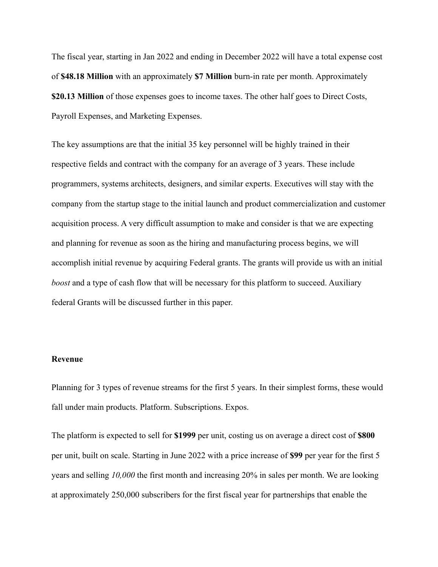The fiscal year, starting in Jan 2022 and ending in December 2022 will have a total expense cost of **\$48.18 Million** with an approximately **\$7 Million** burn-in rate per month. Approximately **\$20.13 Million** of those expenses goes to income taxes. The other half goes to Direct Costs, Payroll Expenses, and Marketing Expenses.

The key assumptions are that the initial 35 key personnel will be highly trained in their respective fields and contract with the company for an average of 3 years. These include programmers, systems architects, designers, and similar experts. Executives will stay with the company from the startup stage to the initial launch and product commercialization and customer acquisition process. A very difficult assumption to make and consider is that we are expecting and planning for revenue as soon as the hiring and manufacturing process begins, we will accomplish initial revenue by acquiring Federal grants. The grants will provide us with an initial *boost* and a type of cash flow that will be necessary for this platform to succeed. Auxiliary federal Grants will be discussed further in this paper.

#### **Revenue**

Planning for 3 types of revenue streams for the first 5 years. In their simplest forms, these would fall under main products. Platform. Subscriptions. Expos.

The platform is expected to sell for **\$1999** per unit, costing us on average a direct cost of **\$800** per unit, built on scale. Starting in June 2022 with a price increase of **\$99** per year for the first 5 years and selling *10,000* the first month and increasing 20% in sales per month. We are looking at approximately 250,000 subscribers for the first fiscal year for partnerships that enable the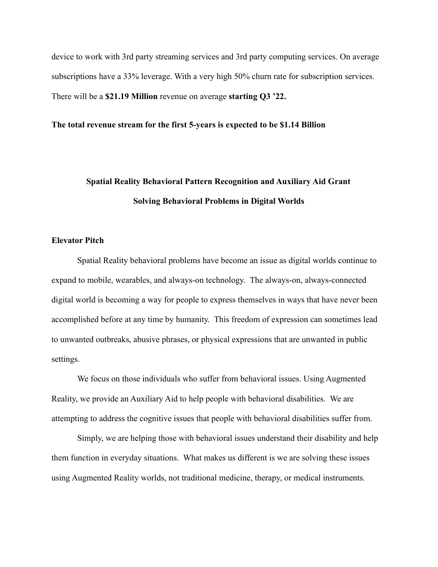device to work with 3rd party streaming services and 3rd party computing services. On average subscriptions have a 33% leverage. With a very high 50% churn rate for subscription services. There will be a **\$21.19 Million** revenue on average **starting Q3 '22.**

#### **The total revenue stream for the first 5-years is expected to be \$1.14 Billion**

# **Spatial Reality Behavioral Pattern Recognition and Auxiliary Aid Grant Solving Behavioral Problems in Digital Worlds**

#### **Elevator Pitch**

Spatial Reality behavioral problems have become an issue as digital worlds continue to expand to mobile, wearables, and always-on technology. The always-on, always-connected digital world is becoming a way for people to express themselves in ways that have never been accomplished before at any time by humanity. This freedom of expression can sometimes lead to unwanted outbreaks, abusive phrases, or physical expressions that are unwanted in public settings.

We focus on those individuals who suffer from behavioral issues. Using Augmented Reality, we provide an Auxiliary Aid to help people with behavioral disabilities. We are attempting to address the cognitive issues that people with behavioral disabilities suffer from.

Simply, we are helping those with behavioral issues understand their disability and help them function in everyday situations. What makes us different is we are solving these issues using Augmented Reality worlds, not traditional medicine, therapy, or medical instruments.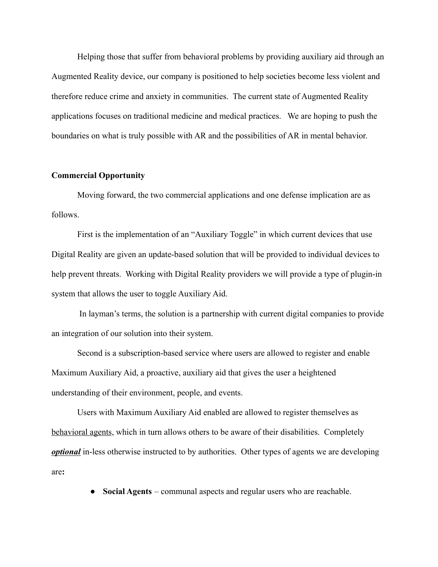Helping those that suffer from behavioral problems by providing auxiliary aid through an Augmented Reality device, our company is positioned to help societies become less violent and therefore reduce crime and anxiety in communities. The current state of Augmented Reality applications focuses on traditional medicine and medical practices. We are hoping to push the boundaries on what is truly possible with AR and the possibilities of AR in mental behavior.

## **Commercial Opportunity**

Moving forward, the two commercial applications and one defense implication are as follows.

First is the implementation of an "Auxiliary Toggle" in which current devices that use Digital Reality are given an update-based solution that will be provided to individual devices to help prevent threats. Working with Digital Reality providers we will provide a type of plugin-in system that allows the user to toggle Auxiliary Aid.

In layman's terms, the solution is a partnership with current digital companies to provide an integration of our solution into their system.

Second is a subscription-based service where users are allowed to register and enable Maximum Auxiliary Aid, a proactive, auxiliary aid that gives the user a heightened understanding of their environment, people, and events.

Users with Maximum Auxiliary Aid enabled are allowed to register themselves as behavioral agents, which in turn allows others to be aware of their disabilities. Completely *optional* in-less otherwise instructed to by authorities. Other types of agents we are developing are**:**

● **Social Agents** – communal aspects and regular users who are reachable.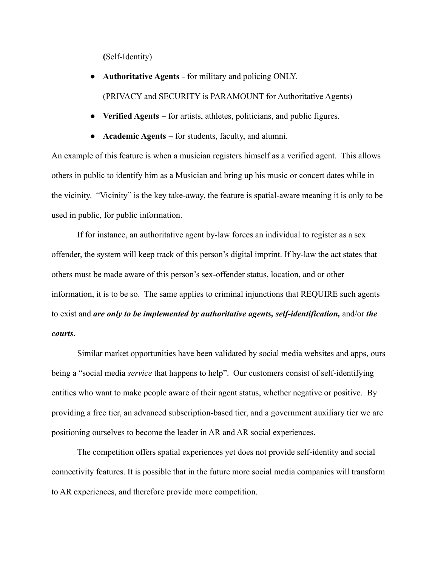**(**Self-Identity)

- **Authoritative Agents** for military and policing ONLY. (PRIVACY and SECURITY is PARAMOUNT for Authoritative Agents)
- **Verified Agents** for artists, athletes, politicians, and public figures.
- **Academic Agents** for students, faculty, and alumni.

An example of this feature is when a musician registers himself as a verified agent. This allows others in public to identify him as a Musician and bring up his music or concert dates while in the vicinity. "Vicinity" is the key take-away, the feature is spatial-aware meaning it is only to be used in public, for public information.

If for instance, an authoritative agent by-law forces an individual to register as a sex offender, the system will keep track of this person's digital imprint. If by-law the act states that others must be made aware of this person's sex-offender status, location, and or other information, it is to be so. The same applies to criminal injunctions that REQUIRE such agents to exist and *are only to be implemented by authoritative agents, self-identification,* and/or *the courts*.

Similar market opportunities have been validated by social media websites and apps, ours being a "social media *service* that happens to help". Our customers consist of self-identifying entities who want to make people aware of their agent status, whether negative or positive. By providing a free tier, an advanced subscription-based tier, and a government auxiliary tier we are positioning ourselves to become the leader in AR and AR social experiences.

The competition offers spatial experiences yet does not provide self-identity and social connectivity features. It is possible that in the future more social media companies will transform to AR experiences, and therefore provide more competition.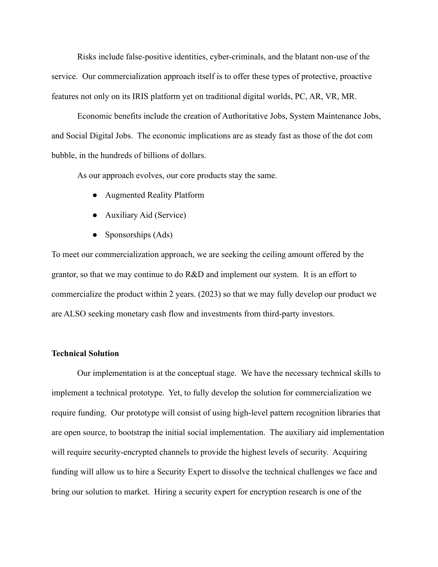Risks include false-positive identities, cyber-criminals, and the blatant non-use of the service. Our commercialization approach itself is to offer these types of protective, proactive features not only on its IRIS platform yet on traditional digital worlds, PC, AR, VR, MR.

Economic benefits include the creation of Authoritative Jobs, System Maintenance Jobs, and Social Digital Jobs. The economic implications are as steady fast as those of the dot com bubble, in the hundreds of billions of dollars.

As our approach evolves, our core products stay the same.

- Augmented Reality Platform
- Auxiliary Aid (Service)
- Sponsorships (Ads)

To meet our commercialization approach, we are seeking the ceiling amount offered by the grantor, so that we may continue to do R&D and implement our system. It is an effort to commercialize the product within 2 years. (2023) so that we may fully develop our product we are ALSO seeking monetary cash flow and investments from third-party investors.

# **Technical Solution**

Our implementation is at the conceptual stage. We have the necessary technical skills to implement a technical prototype. Yet, to fully develop the solution for commercialization we require funding. Our prototype will consist of using high-level pattern recognition libraries that are open source, to bootstrap the initial social implementation. The auxiliary aid implementation will require security-encrypted channels to provide the highest levels of security. Acquiring funding will allow us to hire a Security Expert to dissolve the technical challenges we face and bring our solution to market. Hiring a security expert for encryption research is one of the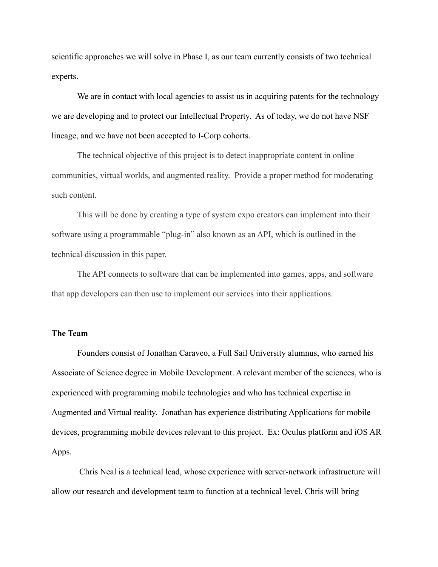scientific approaches we will solve in Phase I, as our team currently consists of two technical experts.

We are in contact with local agencies to assist us in acquiring patents for the technology we are developing and to protect our Intellectual Property. As of today, we do not have NSF lineage, and we have not been accepted to I-Corp cohorts.

The technical objective of this project is to detect inappropriate content in online communities, virtual worlds, and augmented reality. Provide a proper method for moderating such content.

This will be done by creating a type of system expo creators can implement into their software using a programmable "plug-in" also known as an API, which is outlined in the technical discussion in this paper.

The API connects to software that can be implemented into games, apps, and software that app developers can then use to implement our services into their applications.

#### **The Team**

Founders consist of Jonathan Caraveo, a Full Sail University alumnus, who earned his Associate of Science degree in Mobile Development. A relevant member of the sciences, who is experienced with programming mobile technologies and who has technical expertise in Augmented and Virtual reality. Jonathan has experience distributing Applications for mobile devices, programming mobile devices relevant to this project. Ex: Oculus platform and iOS AR Apps.

Chris Neal is a technical lead, whose experience with server-network infrastructure will allow our research and development team to function at a technical level. Chris will bring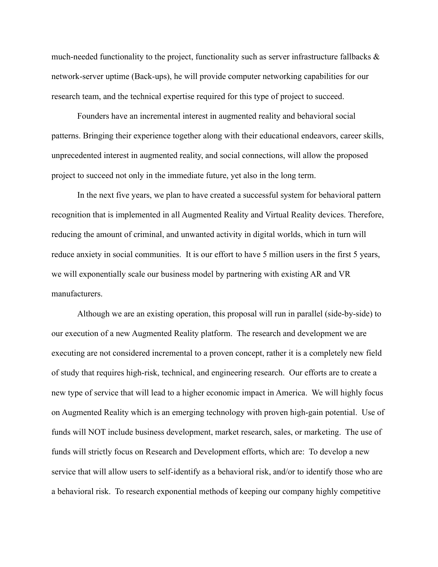much-needed functionality to the project, functionality such as server infrastructure fallbacks & network-server uptime (Back-ups), he will provide computer networking capabilities for our research team, and the technical expertise required for this type of project to succeed.

Founders have an incremental interest in augmented reality and behavioral social patterns. Bringing their experience together along with their educational endeavors, career skills, unprecedented interest in augmented reality, and social connections, will allow the proposed project to succeed not only in the immediate future, yet also in the long term.

In the next five years, we plan to have created a successful system for behavioral pattern recognition that is implemented in all Augmented Reality and Virtual Reality devices. Therefore, reducing the amount of criminal, and unwanted activity in digital worlds, which in turn will reduce anxiety in social communities. It is our effort to have 5 million users in the first 5 years, we will exponentially scale our business model by partnering with existing AR and VR manufacturers.

Although we are an existing operation, this proposal will run in parallel (side-by-side) to our execution of a new Augmented Reality platform. The research and development we are executing are not considered incremental to a proven concept, rather it is a completely new field of study that requires high-risk, technical, and engineering research. Our efforts are to create a new type of service that will lead to a higher economic impact in America. We will highly focus on Augmented Reality which is an emerging technology with proven high-gain potential. Use of funds will NOT include business development, market research, sales, or marketing. The use of funds will strictly focus on Research and Development efforts, which are: To develop a new service that will allow users to self-identify as a behavioral risk, and/or to identify those who are a behavioral risk. To research exponential methods of keeping our company highly competitive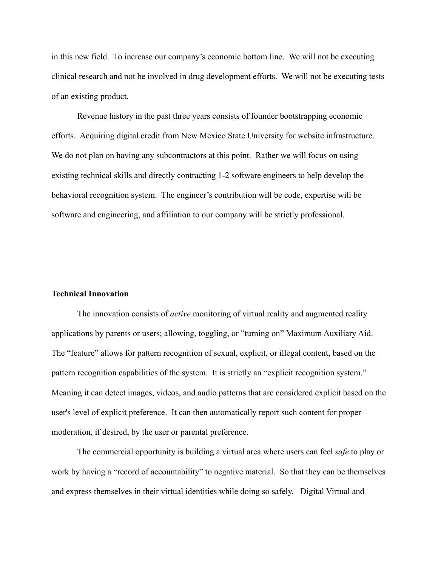in this new field. To increase our company's economic bottom line. We will not be executing clinical research and not be involved in drug development efforts. We will not be executing tests of an existing product.

Revenue history in the past three years consists of founder bootstrapping economic efforts. Acquiring digital credit from New Mexico State University for website infrastructure. We do not plan on having any subcontractors at this point. Rather we will focus on using existing technical skills and directly contracting 1-2 software engineers to help develop the behavioral recognition system. The engineer's contribution will be code, expertise will be software and engineering, and affiliation to our company will be strictly professional.

#### **Technical Innovation**

The innovation consists of *active* monitoring of virtual reality and augmented reality applications by parents or users; allowing, toggling, or "turning on" Maximum Auxiliary Aid. The "feature" allows for pattern recognition of sexual, explicit, or illegal content, based on the pattern recognition capabilities of the system. It is strictly an "explicit recognition system." Meaning it can detect images, videos, and audio patterns that are considered explicit based on the user's level of explicit preference. It can then automatically report such content for proper moderation, if desired, by the user or parental preference.

The commercial opportunity is building a virtual area where users can feel *safe* to play or work by having a "record of accountability" to negative material. So that they can be themselves and express themselves in their virtual identities while doing so safely. Digital Virtual and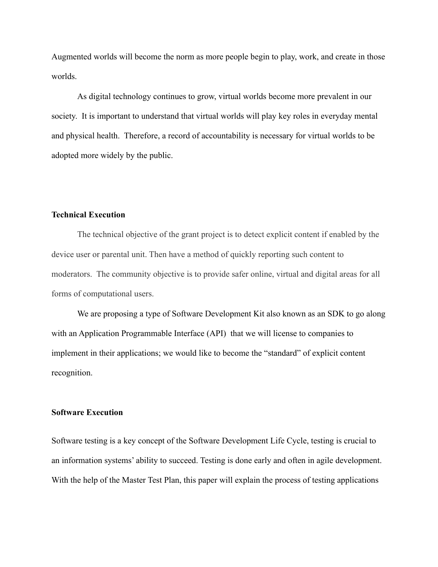Augmented worlds will become the norm as more people begin to play, work, and create in those worlds.

As digital technology continues to grow, virtual worlds become more prevalent in our society. It is important to understand that virtual worlds will play key roles in everyday mental and physical health. Therefore, a record of accountability is necessary for virtual worlds to be adopted more widely by the public.

# **Technical Execution**

The technical objective of the grant project is to detect explicit content if enabled by the device user or parental unit. Then have a method of quickly reporting such content to moderators. The community objective is to provide safer online, virtual and digital areas for all forms of computational users.

We are proposing a type of Software Development Kit also known as an SDK to go along with an Application Programmable Interface (API) that we will license to companies to implement in their applications; we would like to become the "standard" of explicit content recognition.

#### **Software Execution**

Software testing is a key concept of the Software Development Life Cycle, testing is crucial to an information systems' ability to succeed. Testing is done early and often in agile development. With the help of the Master Test Plan, this paper will explain the process of testing applications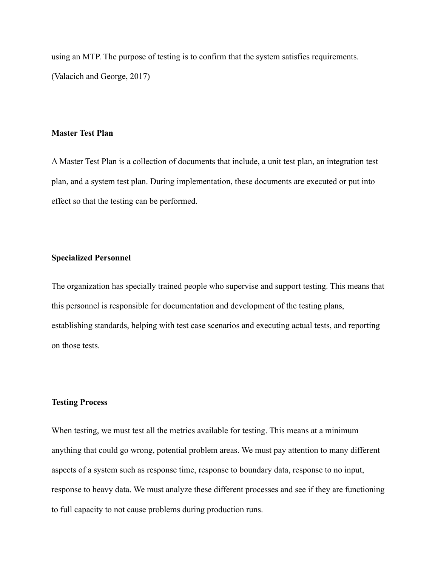using an MTP. The purpose of testing is to confirm that the system satisfies requirements. (Valacich and George, 2017)

#### **Master Test Plan**

A Master Test Plan is a collection of documents that include, a unit test plan, an integration test plan, and a system test plan. During implementation, these documents are executed or put into effect so that the testing can be performed.

#### **Specialized Personnel**

The organization has specially trained people who supervise and support testing. This means that this personnel is responsible for documentation and development of the testing plans, establishing standards, helping with test case scenarios and executing actual tests, and reporting on those tests.

# **Testing Process**

When testing, we must test all the metrics available for testing. This means at a minimum anything that could go wrong, potential problem areas. We must pay attention to many different aspects of a system such as response time, response to boundary data, response to no input, response to heavy data. We must analyze these different processes and see if they are functioning to full capacity to not cause problems during production runs.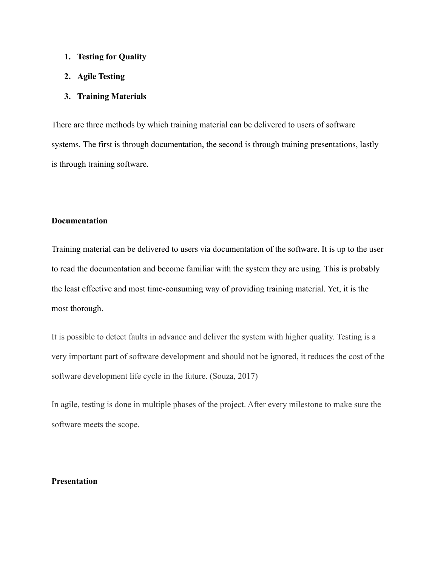- **1. Testing for Quality**
- **2. Agile Testing**

#### **3. Training Materials**

There are three methods by which training material can be delivered to users of software systems. The first is through documentation, the second is through training presentations, lastly is through training software.

#### **Documentation**

Training material can be delivered to users via documentation of the software. It is up to the user to read the documentation and become familiar with the system they are using. This is probably the least effective and most time-consuming way of providing training material. Yet, it is the most thorough.

It is possible to detect faults in advance and deliver the system with higher quality. Testing is a very important part of software development and should not be ignored, it reduces the cost of the software development life cycle in the future. (Souza, 2017)

In agile, testing is done in multiple phases of the project. After every milestone to make sure the software meets the scope.

# **Presentation**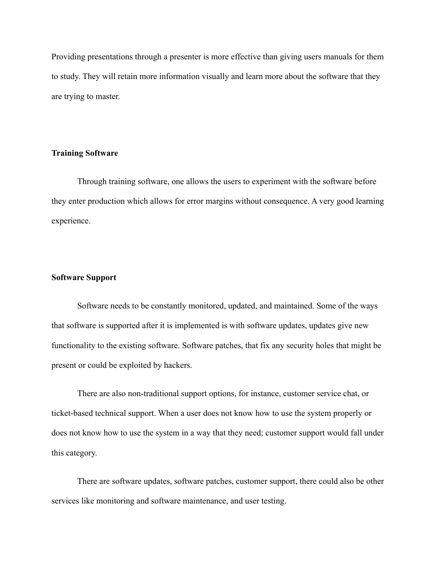Providing presentations through a presenter is more effective than giving users manuals for them to study. They will retain more information visually and learn more about the software that they are trying to master.

### **Training Software**

Through training software, one allows the users to experiment with the software before they enter production which allows for error margins without consequence. A very good learning experience.

#### **Software Support**

Software needs to be constantly monitored, updated, and maintained. Some of the ways that software is supported after it is implemented is with software updates, updates give new functionality to the existing software. Software patches, that fix any security holes that might be present or could be exploited by hackers.

There are also non-traditional support options, for instance, customer service chat, or ticket-based technical support. When a user does not know how to use the system properly or does not know how to use the system in a way that they need; customer support would fall under this category.

There are software updates, software patches, customer support, there could also be other services like monitoring and software maintenance, and user testing.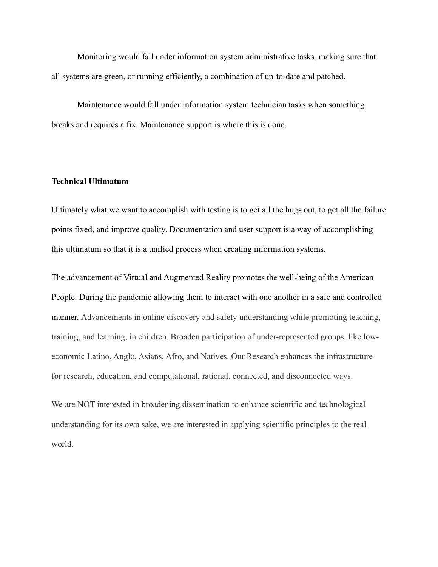Monitoring would fall under information system administrative tasks, making sure that all systems are green, or running efficiently, a combination of up-to-date and patched.

Maintenance would fall under information system technician tasks when something breaks and requires a fix. Maintenance support is where this is done.

# **Technical Ultimatum**

Ultimately what we want to accomplish with testing is to get all the bugs out, to get all the failure points fixed, and improve quality. Documentation and user support is a way of accomplishing this ultimatum so that it is a unified process when creating information systems.

The advancement of Virtual and Augmented Reality promotes the well-being of the American People. During the pandemic allowing them to interact with one another in a safe and controlled manner. Advancements in online discovery and safety understanding while promoting teaching, training, and learning, in children. Broaden participation of under-represented groups, like loweconomic Latino, Anglo, Asians, Afro, and Natives. Our Research enhances the infrastructure for research, education, and computational, rational, connected, and disconnected ways.

We are NOT interested in broadening dissemination to enhance scientific and technological understanding for its own sake, we are interested in applying scientific principles to the real world.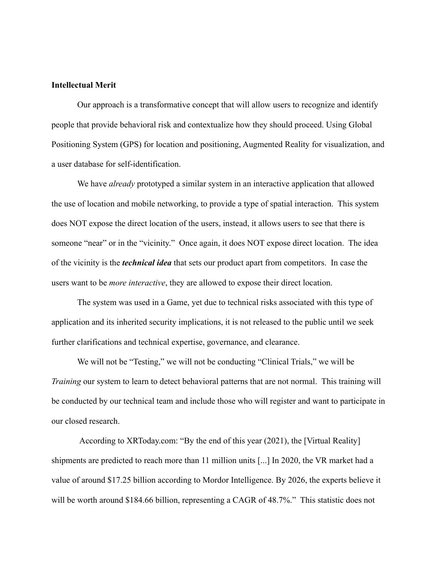#### **Intellectual Merit**

Our approach is a transformative concept that will allow users to recognize and identify people that provide behavioral risk and contextualize how they should proceed. Using Global Positioning System (GPS) for location and positioning, Augmented Reality for visualization, and a user database for self-identification.

We have *already* prototyped a similar system in an interactive application that allowed the use of location and mobile networking, to provide a type of spatial interaction. This system does NOT expose the direct location of the users, instead, it allows users to see that there is someone "near" or in the "vicinity." Once again, it does NOT expose direct location. The idea of the vicinity is the *technical idea* that sets our product apart from competitors. In case the users want to be *more interactive*, they are allowed to expose their direct location.

The system was used in a Game, yet due to technical risks associated with this type of application and its inherited security implications, it is not released to the public until we seek further clarifications and technical expertise, governance, and clearance.

We will not be "Testing," we will not be conducting "Clinical Trials," we will be *Training* our system to learn to detect behavioral patterns that are not normal. This training will be conducted by our technical team and include those who will register and want to participate in our closed research.

According to XRToday.com: "By the end of this year (2021), the [Virtual Reality] shipments are predicted to reach more than 11 million units [...] In 2020, the VR market had a value of around \$17.25 billion according to Mordor Intelligence. By 2026, the experts believe it will be worth around \$184.66 billion, representing a CAGR of 48.7%." This statistic does not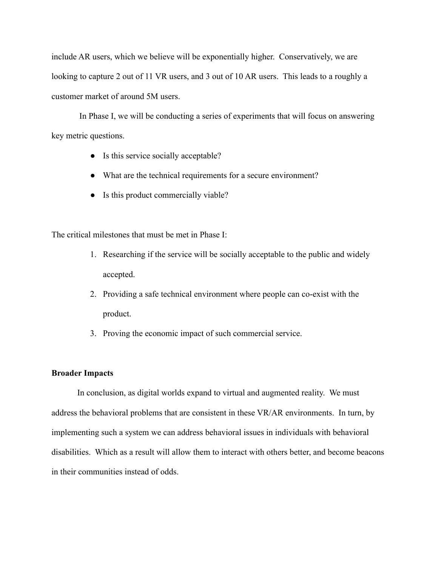include AR users, which we believe will be exponentially higher. Conservatively, we are looking to capture 2 out of 11 VR users, and 3 out of 10 AR users. This leads to a roughly a customer market of around 5M users.

In Phase I, we will be conducting a series of experiments that will focus on answering key metric questions.

- Is this service socially acceptable?
- What are the technical requirements for a secure environment?
- Is this product commercially viable?

The critical milestones that must be met in Phase I:

- 1. Researching if the service will be socially acceptable to the public and widely accepted.
- 2. Providing a safe technical environment where people can co-exist with the product.
- 3. Proving the economic impact of such commercial service.

#### **Broader Impacts**

In conclusion, as digital worlds expand to virtual and augmented reality. We must address the behavioral problems that are consistent in these VR/AR environments. In turn, by implementing such a system we can address behavioral issues in individuals with behavioral disabilities. Which as a result will allow them to interact with others better, and become beacons in their communities instead of odds.